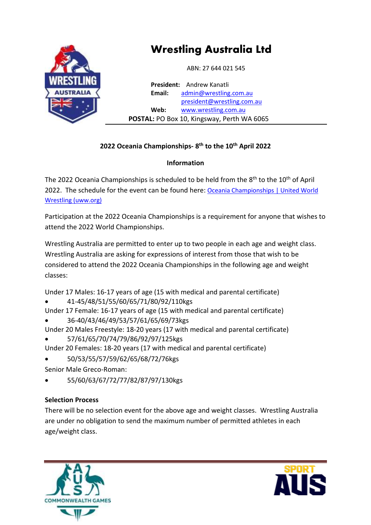

# **Wrestling Australia Ltd**

ABN: 27 644 021 545

**President:** Andrew Kanatli **Email:** admin[@wrestling.com.au](mailto:admin@wrestling.com.au) presid[ent@wrestling.com.au](mailto:president@wrestling.com.au) **Web:** [www.wrestling.com.au](http://www.wrestling.com.au/)  **POSTAL:** PO Box 10, Kingsway, Perth WA 6065

# **2022 Oceania Championships- 8 th to the 10th April 2022**

# **Information**

The 2022 Oceania Championships is scheduled to be held from the 8<sup>th</sup> to the 10<sup>th</sup> of April 2022. The schedule for the event can be found here: Oceania Championships | United World [Wrestling \(uww.org\)](https://uww.org/event/oceania-championships-3)

Participation at the 2022 Oceania Championships is a requirement for anyone that wishes to attend the 2022 World Championships.

Wrestling Australia are permitted to enter up to two people in each age and weight class. Wrestling Australia are asking for expressions of interest from those that wish to be considered to attend the 2022 Oceania Championships in the following age and weight classes:

Under 17 Males: 16-17 years of age (15 with medical and parental certificate)

• 41-45/48/51/55/60/65/71/80/92/110kgs

Under 17 Female: 16-17 years of age (15 with medical and parental certificate)

- 36-40/43/46/49/53/57/61/65/69/73kgs
- Under 20 Males Freestyle: 18-20 years (17 with medical and parental certificate) • 57/61/65/70/74/79/86/92/97/125kgs
- Under 20 Females: 18-20 years (17 with medical and parental certificate)
- 50/53/55/57/59/62/65/68/72/76kgs
- Senior Male Greco-Roman:
- 55/60/63/67/72/77/82/87/97/130kgs

# **Selection Process**

There will be no selection event for the above age and weight classes. Wrestling Australia are under no obligation to send the maximum number of permitted athletes in each age/weight class.



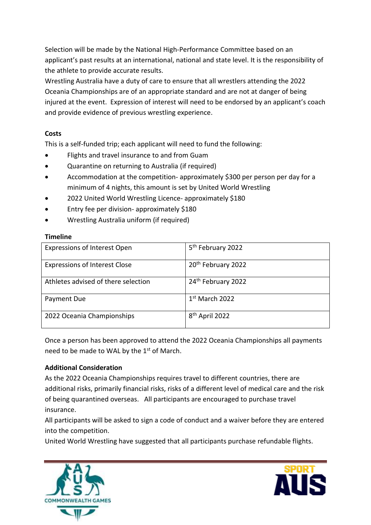Selection will be made by the National High-Performance Committee based on an applicant's past results at an international, national and state level. It is the responsibility of the athlete to provide accurate results.

Wrestling Australia have a duty of care to ensure that all wrestlers attending the 2022 Oceania Championships are of an appropriate standard and are not at danger of being injured at the event. Expression of interest will need to be endorsed by an applicant's coach and provide evidence of previous wrestling experience.

#### **Costs**

This is a self-funded trip; each applicant will need to fund the following:

- Flights and travel insurance to and from Guam
- Quarantine on returning to Australia (if required)
- Accommodation at the competition- approximately \$300 per person per day for a minimum of 4 nights, this amount is set by United World Wrestling
- 2022 United World Wrestling Licence- approximately \$180
- Entry fee per division- approximately \$180
- Wrestling Australia uniform (if required)

#### **Timeline**

| <b>Expressions of Interest Open</b>  | 5 <sup>th</sup> February 2022  |
|--------------------------------------|--------------------------------|
| <b>Expressions of Interest Close</b> | 20 <sup>th</sup> February 2022 |
| Athletes advised of there selection  | 24 <sup>th</sup> February 2022 |
| Payment Due                          | $1st$ March 2022               |
| 2022 Oceania Championships           | 8 <sup>th</sup> April 2022     |

Once a person has been approved to attend the 2022 Oceania Championships all payments need to be made to WAL by the 1<sup>st</sup> of March.

#### **Additional Consideration**

As the 2022 Oceania Championships requires travel to different countries, there are additional risks, primarily financial risks, risks of a different level of medical care and the risk of being quarantined overseas. All participants are encouraged to purchase travel insurance.

All participants will be asked to sign a code of conduct and a waiver before they are entered into the competition.

United World Wrestling have suggested that all participants purchase refundable flights.